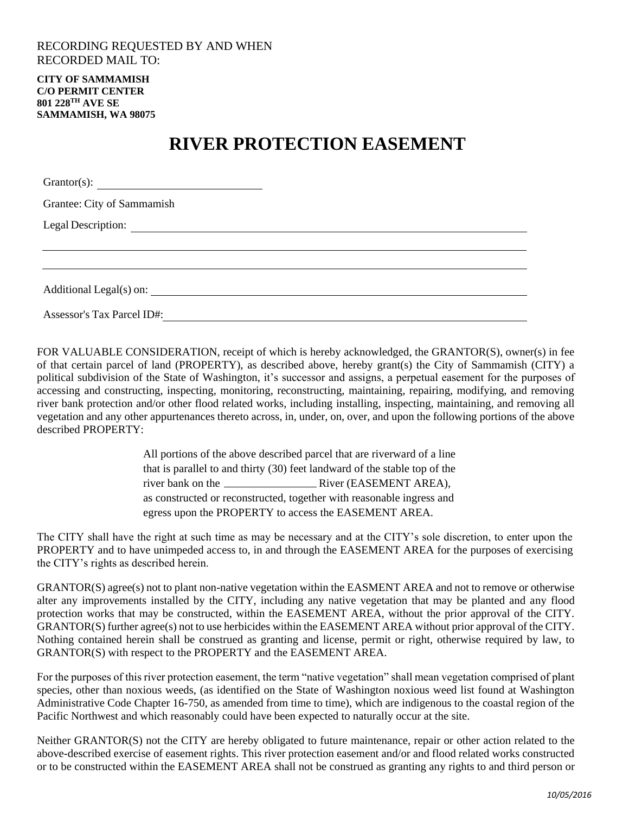## RECORDING REQUESTED BY AND WHEN RECORDED MAIL TO:

**CITY OF SAMMAMISH C/O PERMIT CENTER 801 228TH AVE SE SAMMAMISH, WA 98075**

## **RIVER PROTECTION EASEMENT**

| Grantee: City of Sammamish |  |
|----------------------------|--|
|                            |  |
|                            |  |
|                            |  |
|                            |  |
| Assessor's Tax Parcel ID#: |  |

FOR VALUABLE CONSIDERATION, receipt of which is hereby acknowledged, the GRANTOR(S), owner(s) in fee of that certain parcel of land (PROPERTY), as described above, hereby grant(s) the City of Sammamish (CITY) a political subdivision of the State of Washington, it's successor and assigns, a perpetual easement for the purposes of accessing and constructing, inspecting, monitoring, reconstructing, maintaining, repairing, modifying, and removing river bank protection and/or other flood related works, including installing, inspecting, maintaining, and removing all vegetation and any other appurtenances thereto across, in, under, on, over, and upon the following portions of the above described PROPERTY:

> All portions of the above described parcel that are riverward of a line that is parallel to and thirty (30) feet landward of the stable top of the river bank on the River (EASEMENT AREA), as constructed or reconstructed, together with reasonable ingress and egress upon the PROPERTY to access the EASEMENT AREA.

The CITY shall have the right at such time as may be necessary and at the CITY's sole discretion, to enter upon the PROPERTY and to have unimpeded access to, in and through the EASEMENT AREA for the purposes of exercising the CITY's rights as described herein.

GRANTOR(S) agree(s) not to plant non-native vegetation within the EASMENT AREA and not to remove or otherwise alter any improvements installed by the CITY, including any native vegetation that may be planted and any flood protection works that may be constructed, within the EASEMENT AREA, without the prior approval of the CITY. GRANTOR(S) further agree(s) not to use herbicides within the EASEMENT AREA without prior approval of the CITY. Nothing contained herein shall be construed as granting and license, permit or right, otherwise required by law, to GRANTOR(S) with respect to the PROPERTY and the EASEMENT AREA.

For the purposes of this river protection easement, the term "native vegetation" shall mean vegetation comprised of plant species, other than noxious weeds, (as identified on the State of Washington noxious weed list found at Washington Administrative Code Chapter 16-750, as amended from time to time), which are indigenous to the coastal region of the Pacific Northwest and which reasonably could have been expected to naturally occur at the site.

Neither GRANTOR(S) not the CITY are hereby obligated to future maintenance, repair or other action related to the above-described exercise of easement rights. This river protection easement and/or and flood related works constructed or to be constructed within the EASEMENT AREA shall not be construed as granting any rights to and third person or